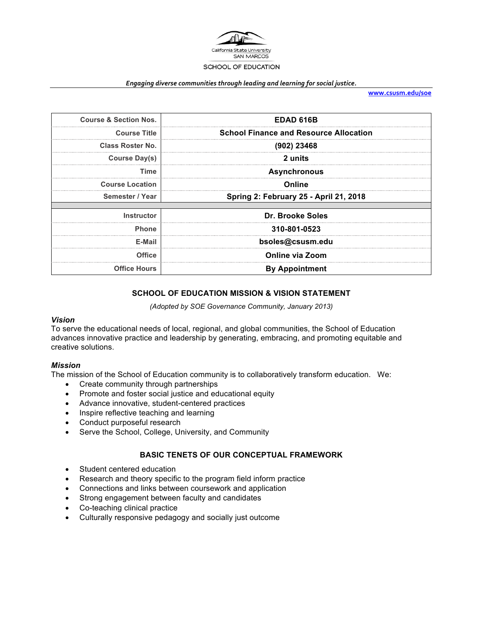

#### *Engaging diverse communities through leading and learning for social justice.*

**www.csusm.edu/soe**

| <b>Course &amp; Section Nos.</b> | <b>EDAD 616B</b>                              |  |  |
|----------------------------------|-----------------------------------------------|--|--|
| <b>Course Title</b>              | <b>School Finance and Resource Allocation</b> |  |  |
| <b>Class Roster No.</b>          | $(902)$ 23468                                 |  |  |
| <b>Course Day(s)</b>             | 2 units                                       |  |  |
| Time                             | <b>Asynchronous</b>                           |  |  |
| <b>Course Location</b>           | Online                                        |  |  |
| Semester / Year                  | <b>Spring 2: February 25 - April 21, 2018</b> |  |  |
|                                  |                                               |  |  |
| <b>Instructor</b>                | Dr. Brooke Soles                              |  |  |
| <b>Phone</b>                     | 310-801-0523                                  |  |  |
| E-Mail                           | bsoles@csusm.edu                              |  |  |
| <b>Office</b>                    | <b>Online via Zoom</b>                        |  |  |
| <b>Office Hours</b>              | <b>By Appointment</b>                         |  |  |

# **SCHOOL OF EDUCATION MISSION & VISION STATEMENT**

*(Adopted by SOE Governance Community, January 2013)*

#### *Vision*

To serve the educational needs of local, regional, and global communities, the School of Education advances innovative practice and leadership by generating, embracing, and promoting equitable and creative solutions.

#### *Mission*

The mission of the School of Education community is to collaboratively transform education. We:

- Create community through partnerships
- Promote and foster social justice and educational equity
- Advance innovative, student-centered practices
- Inspire reflective teaching and learning
- Conduct purposeful research
- Serve the School, College, University, and Community

#### **BASIC TENETS OF OUR CONCEPTUAL FRAMEWORK**

- Student centered education
- Research and theory specific to the program field inform practice
- Connections and links between coursework and application
- Strong engagement between faculty and candidates
- Co-teaching clinical practice
- Culturally responsive pedagogy and socially just outcome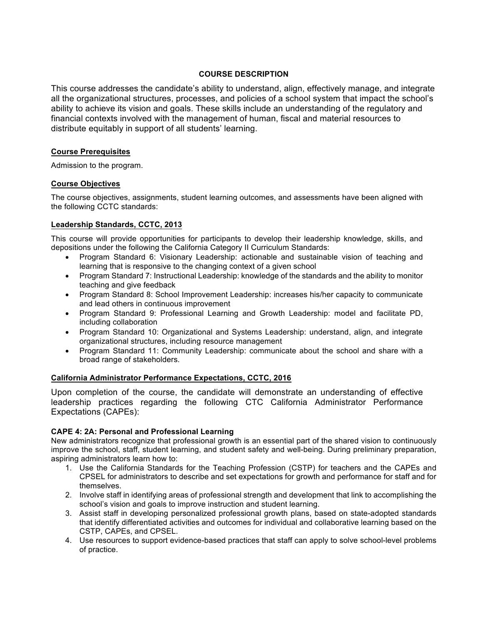## **COURSE DESCRIPTION**

This course addresses the candidate's ability to understand, align, effectively manage, and integrate all the organizational structures, processes, and policies of a school system that impact the school's ability to achieve its vision and goals. These skills include an understanding of the regulatory and financial contexts involved with the management of human, fiscal and material resources to distribute equitably in support of all students' learning.

# **Course Prerequisites**

Admission to the program.

## **Course Objectives**

The course objectives, assignments, student learning outcomes, and assessments have been aligned with the following CCTC standards:

## **Leadership Standards, CCTC, 2013**

This course will provide opportunities for participants to develop their leadership knowledge, skills, and depositions under the following the California Category II Curriculum Standards:

- Program Standard 6: Visionary Leadership: actionable and sustainable vision of teaching and learning that is responsive to the changing context of a given school
- Program Standard 7: Instructional Leadership: knowledge of the standards and the ability to monitor teaching and give feedback
- Program Standard 8: School Improvement Leadership: increases his/her capacity to communicate and lead others in continuous improvement
- Program Standard 9: Professional Learning and Growth Leadership: model and facilitate PD, including collaboration
- Program Standard 10: Organizational and Systems Leadership: understand, align, and integrate organizational structures, including resource management
- Program Standard 11: Community Leadership: communicate about the school and share with a broad range of stakeholders.

## **California Administrator Performance Expectations, CCTC, 2016**

Upon completion of the course, the candidate will demonstrate an understanding of effective leadership practices regarding the following CTC California Administrator Performance Expectations (CAPEs):

## **CAPE 4: 2A: Personal and Professional Learning**

New administrators recognize that professional growth is an essential part of the shared vision to continuously improve the school, staff, student learning, and student safety and well-being. During preliminary preparation, aspiring administrators learn how to:

- 1. Use the California Standards for the Teaching Profession (CSTP) for teachers and the CAPEs and CPSEL for administrators to describe and set expectations for growth and performance for staff and for themselves.
- 2. Involve staff in identifying areas of professional strength and development that link to accomplishing the school's vision and goals to improve instruction and student learning.
- 3. Assist staff in developing personalized professional growth plans, based on state-adopted standards that identify differentiated activities and outcomes for individual and collaborative learning based on the CSTP, CAPEs, and CPSEL.
- 4. Use resources to support evidence-based practices that staff can apply to solve school-level problems of practice.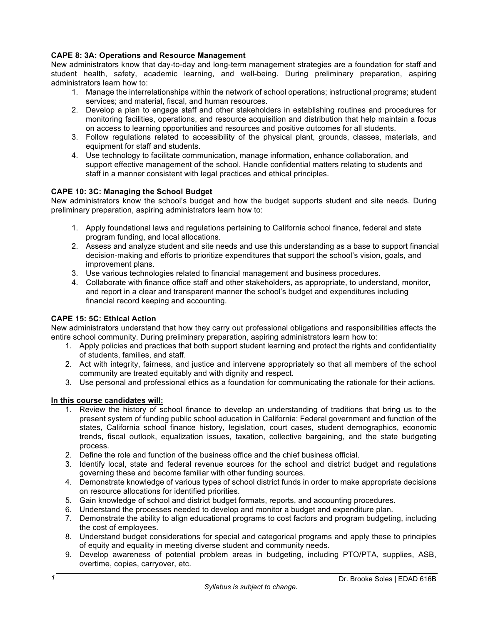## **CAPE 8: 3A: Operations and Resource Management**

New administrators know that day-to-day and long-term management strategies are a foundation for staff and student health, safety, academic learning, and well-being. During preliminary preparation, aspiring administrators learn how to:

- 1. Manage the interrelationships within the network of school operations; instructional programs; student services; and material, fiscal, and human resources.
- 2. Develop a plan to engage staff and other stakeholders in establishing routines and procedures for monitoring facilities, operations, and resource acquisition and distribution that help maintain a focus on access to learning opportunities and resources and positive outcomes for all students.
- 3. Follow regulations related to accessibility of the physical plant, grounds, classes, materials, and equipment for staff and students.
- 4. Use technology to facilitate communication, manage information, enhance collaboration, and support effective management of the school. Handle confidential matters relating to students and staff in a manner consistent with legal practices and ethical principles.

#### **CAPE 10: 3C: Managing the School Budget**

New administrators know the school's budget and how the budget supports student and site needs. During preliminary preparation, aspiring administrators learn how to:

- 1. Apply foundational laws and regulations pertaining to California school finance, federal and state program funding, and local allocations.
- 2. Assess and analyze student and site needs and use this understanding as a base to support financial decision-making and efforts to prioritize expenditures that support the school's vision, goals, and improvement plans.
- 3. Use various technologies related to financial management and business procedures.
- 4. Collaborate with finance office staff and other stakeholders, as appropriate, to understand, monitor, and report in a clear and transparent manner the school's budget and expenditures including financial record keeping and accounting.

#### **CAPE 15: 5C: Ethical Action**

New administrators understand that how they carry out professional obligations and responsibilities affects the entire school community. During preliminary preparation, aspiring administrators learn how to:

- 1. Apply policies and practices that both support student learning and protect the rights and confidentiality of students, families, and staff.
- 2. Act with integrity, fairness, and justice and intervene appropriately so that all members of the school community are treated equitably and with dignity and respect.
- 3. Use personal and professional ethics as a foundation for communicating the rationale for their actions.

#### **In this course candidates will:**

- 1. Review the history of school finance to develop an understanding of traditions that bring us to the present system of funding public school education in California: Federal government and function of the states, California school finance history, legislation, court cases, student demographics, economic trends, fiscal outlook, equalization issues, taxation, collective bargaining, and the state budgeting process.
- 2. Define the role and function of the business office and the chief business official.
- 3. Identify local, state and federal revenue sources for the school and district budget and regulations governing these and become familiar with other funding sources.
- 4. Demonstrate knowledge of various types of school district funds in order to make appropriate decisions on resource allocations for identified priorities.
- 5. Gain knowledge of school and district budget formats, reports, and accounting procedures.
- 6. Understand the processes needed to develop and monitor a budget and expenditure plan.
- 7. Demonstrate the ability to align educational programs to cost factors and program budgeting, including the cost of employees.
- 8. Understand budget considerations for special and categorical programs and apply these to principles of equity and equality in meeting diverse student and community needs.
- 9. Develop awareness of potential problem areas in budgeting, including PTO/PTA, supplies, ASB, overtime, copies, carryover, etc.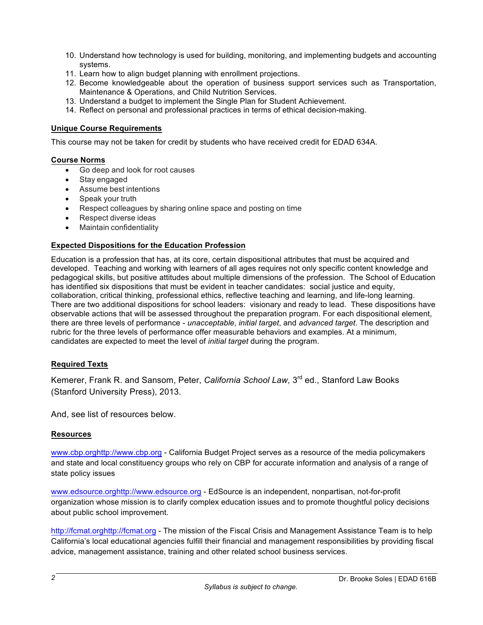- 10. Understand how technology is used for building, monitoring, and implementing budgets and accounting systems.
- 11. Learn how to align budget planning with enrollment projections.
- 12. Become knowledgeable about the operation of business support services such as Transportation, Maintenance & Operations, and Child Nutrition Services.
- 13. Understand a budget to implement the Single Plan for Student Achievement.
- 14. Reflect on personal and professional practices in terms of ethical decision-making.

## **Unique Course Requirements**

This course may not be taken for credit by students who have received credit for EDAD 634A.

## **Course Norms**

- Go deep and look for root causes
- Stay engaged
- Assume best intentions
- Speak your truth
- Respect colleagues by sharing online space and posting on time
- Respect diverse ideas
- Maintain confidentiality

# **Expected Dispositions for the Education Profession**

Education is a profession that has, at its core, certain dispositional attributes that must be acquired and developed. Teaching and working with learners of all ages requires not only specific content knowledge and pedagogical skills, but positive attitudes about multiple dimensions of the profession. The School of Education has identified six dispositions that must be evident in teacher candidates: social justice and equity, collaboration, critical thinking, professional ethics, reflective teaching and learning, and life-long learning. There are two additional dispositions for school leaders: visionary and ready to lead. These dispositions have observable actions that will be assessed throughout the preparation program. For each dispositional element, there are three levels of performance - *unacceptable*, *initial target*, and *advanced target*. The description and rubric for the three levels of performance offer measurable behaviors and examples. At a minimum, candidates are expected to meet the level of *initial target* during the program.

## **Required Texts**

Kemerer, Frank R. and Sansom, Peter, *California School Law,* 3rd ed., Stanford Law Books (Stanford University Press), 2013.

And, see list of resources below.

## **Resources**

www.cbp.orghttp://www.cbp.org - California Budget Project serves as a resource of the media policymakers and state and local constituency groups who rely on CBP for accurate information and analysis of a range of state policy issues

www.edsource.orghttp://www.edsource.org - EdSource is an independent, nonpartisan, not-for-profit organization whose mission is to clarify complex education issues and to promote thoughtful policy decisions about public school improvement.

http://fcmat.orghttp://fcmat.org - The mission of the Fiscal Crisis and Management Assistance Team is to help California's local educational agencies fulfill their financial and management responsibilities by providing fiscal advice, management assistance, training and other related school business services.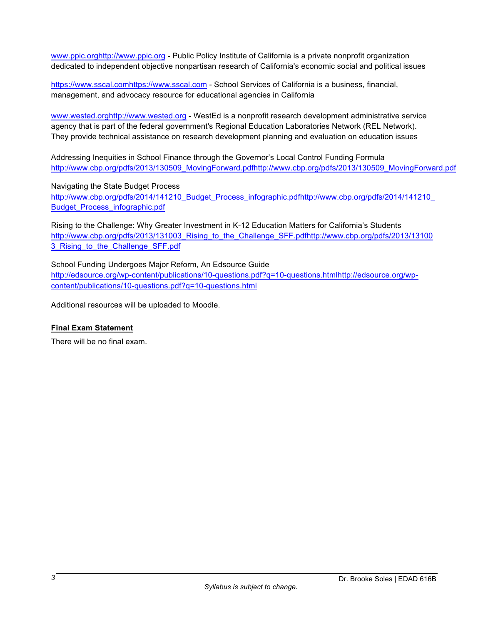www.ppic.orghttp://www.ppic.org - Public Policy Institute of California is a private nonprofit organization dedicated to independent objective nonpartisan research of California's economic social and political issues

https://www.sscal.comhttps://www.sscal.com - School Services of California is a business, financial, management, and advocacy resource for educational agencies in California

www.wested.orghttp://www.wested.org - WestEd is a nonprofit research development administrative service agency that is part of the federal government's Regional Education Laboratories Network (REL Network). They provide technical assistance on research development planning and evaluation on education issues

Addressing Inequities in School Finance through the Governor's Local Control Funding Formula http://www.cbp.org/pdfs/2013/130509\_MovingForward.pdfhttp://www.cbp.org/pdfs/2013/130509\_MovingForward.pdf

Navigating the State Budget Process

http://www.cbp.org/pdfs/2014/141210\_Budget\_Process\_infographic.pdfhttp://www.cbp.org/pdfs/2014/141210\_ Budget\_Process\_infographic.pdf

Rising to the Challenge: Why Greater Investment in K-12 Education Matters for California's Students http://www.cbp.org/pdfs/2013/131003\_Rising\_to\_the\_Challenge\_SFF.pdfhttp://www.cbp.org/pdfs/2013/13100 3 Rising to the Challenge SFF.pdf

School Funding Undergoes Major Reform, An Edsource Guide http://edsource.org/wp-content/publications/10-questions.pdf?q=10-questions.htmlhttp://edsource.org/wpcontent/publications/10-questions.pdf?q=10-questions.html

Additional resources will be uploaded to Moodle.

## **Final Exam Statement**

There will be no final exam.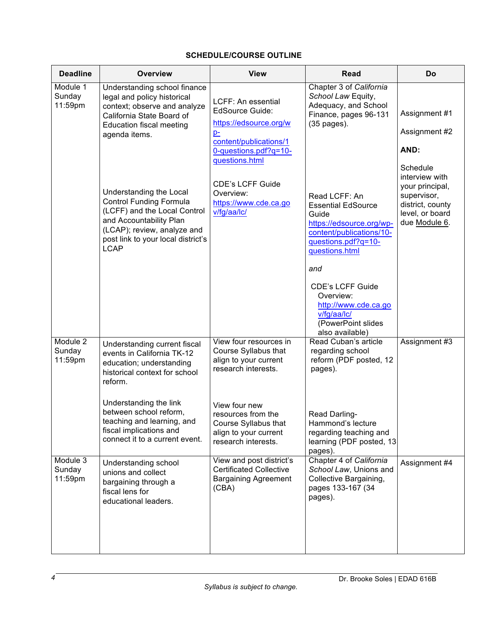# **SCHEDULE/COURSE OUTLINE**

| <b>Deadline</b>               | <b>Overview</b>                                                                                                                                                                                          | <b>View</b>                                                                                                                                         | <b>Read</b>                                                                                                                                                 | Do                                                                                                       |
|-------------------------------|----------------------------------------------------------------------------------------------------------------------------------------------------------------------------------------------------------|-----------------------------------------------------------------------------------------------------------------------------------------------------|-------------------------------------------------------------------------------------------------------------------------------------------------------------|----------------------------------------------------------------------------------------------------------|
| Module 1<br>Sunday<br>11:59pm | Understanding school finance<br>legal and policy historical<br>context; observe and analyze<br>California State Board of<br><b>Education fiscal meeting</b><br>agenda items.                             | LCFF: An essential<br><b>EdSource Guide:</b><br>https://edsource.org/w<br>$p-$<br>content/publications/1<br>0-questions.pdf?q=10-<br>questions.html | Chapter 3 of California<br>School Law Equity,<br>Adequacy, and School<br>Finance, pages 96-131<br>(35 pages).                                               | Assignment #1<br>Assignment #2<br>AND:<br>Schedule                                                       |
|                               | Understanding the Local<br><b>Control Funding Formula</b><br>(LCFF) and the Local Control<br>and Accountability Plan<br>(LCAP); review, analyze and<br>post link to your local district's<br><b>LCAP</b> | <b>CDE's LCFF Guide</b><br>Overview:<br>https://www.cde.ca.go<br>v/fg/aa/lc/                                                                        | Read LCFF: An<br><b>Essential EdSource</b><br>Guide<br>https://edsource.org/wp-<br>content/publications/10-<br>questions.pdf?q=10-<br>questions.html<br>and | interview with<br>your principal,<br>supervisor,<br>district, county<br>level, or board<br>due Module 6. |
|                               |                                                                                                                                                                                                          |                                                                                                                                                     | <b>CDE's LCFF Guide</b><br>Overview:<br>http://www.cde.ca.go<br>v/fg/aa/lc/<br>(PowerPoint slides<br>also available)                                        |                                                                                                          |
| Module 2<br>Sunday<br>11:59pm | Understanding current fiscal<br>events in California TK-12<br>education; understanding<br>historical context for school<br>reform.                                                                       | View four resources in<br>Course Syllabus that<br>align to your current<br>research interests.                                                      | Read Cuban's article<br>regarding school<br>reform (PDF posted, 12<br>pages).                                                                               | Assignment #3                                                                                            |
|                               | Understanding the link<br>between school reform,<br>teaching and learning, and<br>fiscal implications and<br>connect it to a current event.                                                              | View four new<br>resources from the<br>Course Syllabus that<br>align to your current<br>research interests.                                         | <b>Read Darling-</b><br>Hammond's lecture<br>regarding teaching and<br>learning (PDF posted, 13<br>pages).                                                  |                                                                                                          |
| Module 3<br>Sunday<br>11:59pm | Understanding school<br>unions and collect<br>bargaining through a<br>fiscal lens for<br>educational leaders.                                                                                            | View and post district's<br><b>Certificated Collective</b><br><b>Bargaining Agreement</b><br>(CBA)                                                  | Chapter 4 of California<br>School Law, Unions and<br>Collective Bargaining,<br>pages 133-167 (34<br>pages).                                                 | Assignment #4                                                                                            |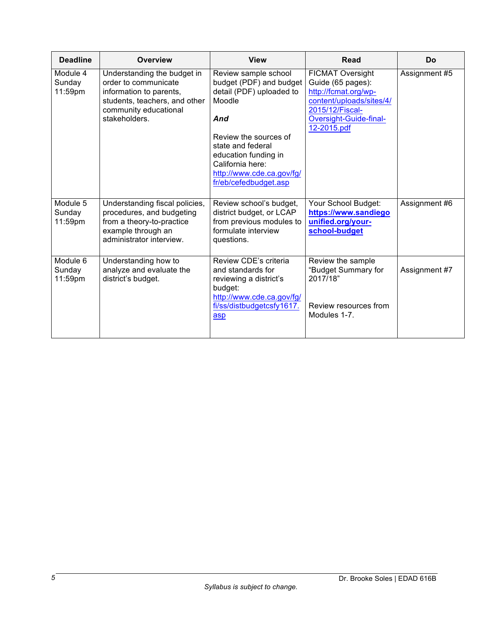| <b>Deadline</b>               | <b>Overview</b>                                                                                                                                           | <b>View</b>                                                                                                                                                                                                                                  | <b>Read</b>                                                                                                                                                  | Do            |
|-------------------------------|-----------------------------------------------------------------------------------------------------------------------------------------------------------|----------------------------------------------------------------------------------------------------------------------------------------------------------------------------------------------------------------------------------------------|--------------------------------------------------------------------------------------------------------------------------------------------------------------|---------------|
| Module 4<br>Sunday<br>11:59pm | Understanding the budget in<br>order to communicate<br>information to parents,<br>students, teachers, and other<br>community educational<br>stakeholders. | Review sample school<br>budget (PDF) and budget<br>detail (PDF) uploaded to<br>Moodle<br>And<br>Review the sources of<br>state and federal<br>education funding in<br>California here:<br>http://www.cde.ca.gov/fg/<br>fr/eb/cefedbudget.asp | <b>FICMAT Oversight</b><br>Guide (65 pages):<br>http://fcmat.org/wp-<br>content/uploads/sites/4/<br>2015/12/Fiscal-<br>Oversight-Guide-final-<br>12-2015.pdf | Assignment #5 |
| Module 5<br>Sunday<br>11:59pm | Understanding fiscal policies,<br>procedures, and budgeting<br>from a theory-to-practice<br>example through an<br>administrator interview.                | Review school's budget,<br>district budget, or LCAP<br>from previous modules to<br>formulate interview<br>questions.                                                                                                                         | Your School Budget:<br>https://www.sandiego<br>unified.org/your-<br>school-budget                                                                            | Assignment #6 |
| Module 6<br>Sunday<br>11:59pm | Understanding how to<br>analyze and evaluate the<br>district's budget.                                                                                    | Review CDE's criteria<br>and standards for<br>reviewing a district's<br>budget:<br>http://www.cde.ca.gov/fg/<br>fi/ss/distbudgetcsfy1617.<br>asp                                                                                             | Review the sample<br>"Budget Summary for<br>2017/18"<br>Review resources from<br>Modules 1-7.                                                                | Assignment #7 |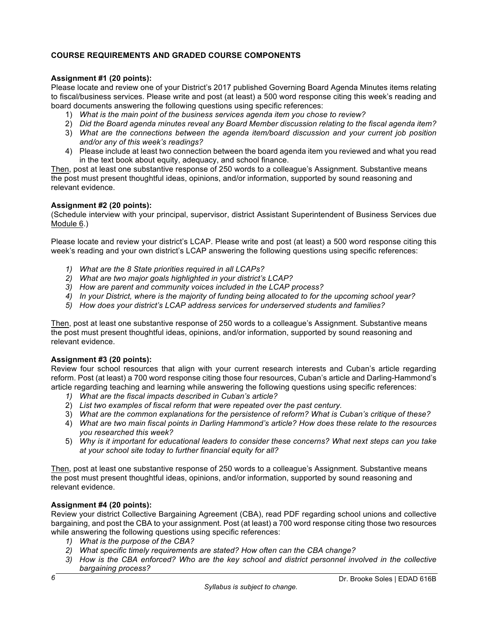# **COURSE REQUIREMENTS AND GRADED COURSE COMPONENTS**

#### **Assignment #1 (20 points):**

Please locate and review one of your District's 2017 published Governing Board Agenda Minutes items relating to fiscal/business services. Please write and post (at least) a 500 word response citing this week's reading and board documents answering the following questions using specific references:

- 1) *What is the main point of the business services agenda item you chose to review?*
- 2) *Did the Board agenda minutes reveal any Board Member discussion relating to the fiscal agenda item?*
- 3) *What are the connections between the agenda item/board discussion and your current job position and/or any of this week's readings?*
- 4) Please include at least two connection between the board agenda item you reviewed and what you read in the text book about equity, adequacy, and school finance.

Then, post at least one substantive response of 250 words to a colleague's Assignment. Substantive means the post must present thoughtful ideas, opinions, and/or information, supported by sound reasoning and relevant evidence.

#### **Assignment #2 (20 points):**

(Schedule interview with your principal, supervisor, district Assistant Superintendent of Business Services due Module 6.)

Please locate and review your district's LCAP. Please write and post (at least) a 500 word response citing this week's reading and your own district's LCAP answering the following questions using specific references:

- *1) What are the 8 State priorities required in all LCAPs?*
- *2) What are two major goals highlighted in your district's LCAP?*
- *3) How are parent and community voices included in the LCAP process?*
- *4) In your District, where is the majority of funding being allocated to for the upcoming school year?*
- *5) How does your district's LCAP address services for underserved students and families?*

Then, post at least one substantive response of 250 words to a colleague's Assignment. Substantive means the post must present thoughtful ideas, opinions, and/or information, supported by sound reasoning and relevant evidence.

#### **Assignment #3 (20 points):**

Review four school resources that align with your current research interests and Cuban's article regarding reform. Post (at least) a 700 word response citing those four resources, Cuban's article and Darling-Hammond's article regarding teaching and learning while answering the following questions using specific references:

- *1) What are the fiscal impacts described in Cuban's article?*
- 2) *List two examples of fiscal reform that were repeated over the past century.*
- 3) *What are the common explanations for the persistence of reform? What is Cuban's critique of these?*
- 4) *What are two main fiscal points in Darling Hammond's article? How does these relate to the resources you researched this week?*
- 5) *Why is it important for educational leaders to consider these concerns? What next steps can you take at your school site today to further financial equity for all?*

Then, post at least one substantive response of 250 words to a colleague's Assignment. Substantive means the post must present thoughtful ideas, opinions, and/or information, supported by sound reasoning and relevant evidence.

## **Assignment #4 (20 points):**

Review your district Collective Bargaining Agreement (CBA), read PDF regarding school unions and collective bargaining, and post the CBA to your assignment. Post (at least) a 700 word response citing those two resources while answering the following questions using specific references:

- *1) What is the purpose of the CBA?*
- *2) What specific timely requirements are stated? How often can the CBA change?*
- *3) How is the CBA enforced? Who are the key school and district personnel involved in the collective bargaining process?*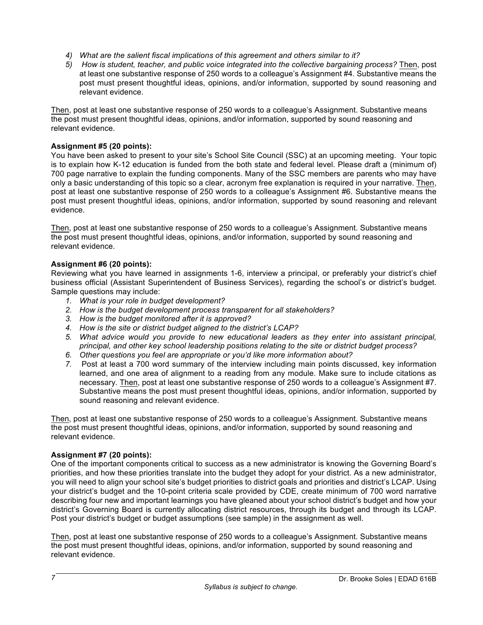- *4) What are the salient fiscal implications of this agreement and others similar to it?*
- *5) How is student, teacher, and public voice integrated into the collective bargaining process?* Then, post at least one substantive response of 250 words to a colleague's Assignment #4. Substantive means the post must present thoughtful ideas, opinions, and/or information, supported by sound reasoning and relevant evidence.

Then, post at least one substantive response of 250 words to a colleague's Assignment. Substantive means the post must present thoughtful ideas, opinions, and/or information, supported by sound reasoning and relevant evidence.

### **Assignment #5 (20 points):**

You have been asked to present to your site's School Site Council (SSC) at an upcoming meeting. Your topic is to explain how K-12 education is funded from the both state and federal level. Please draft a (minimum of) 700 page narrative to explain the funding components. Many of the SSC members are parents who may have only a basic understanding of this topic so a clear, acronym free explanation is required in your narrative. Then, post at least one substantive response of 250 words to a colleague's Assignment #6. Substantive means the post must present thoughtful ideas, opinions, and/or information, supported by sound reasoning and relevant evidence.

Then, post at least one substantive response of 250 words to a colleague's Assignment. Substantive means the post must present thoughtful ideas, opinions, and/or information, supported by sound reasoning and relevant evidence.

#### **Assignment #6 (20 points):**

Reviewing what you have learned in assignments 1-6, interview a principal, or preferably your district's chief business official (Assistant Superintendent of Business Services), regarding the school's or district's budget. Sample questions may include:

- *1. What is your role in budget development?*
- *2. How is the budget development process transparent for all stakeholders?*
- *3. How is the budget monitored after it is approved?*
- *4. How is the site or district budget aligned to the district's LCAP?*
- *5. What advice would you provide to new educational leaders as they enter into assistant principal, principal, and other key school leadership positions relating to the site or district budget process?*
- *6. Other questions you feel are appropriate or you'd like more information about?*
- *7.* Post at least a 700 word summary of the interview including main points discussed, key information learned, and one area of alignment to a reading from any module. Make sure to include citations as necessary. Then, post at least one substantive response of 250 words to a colleague's Assignment #7. Substantive means the post must present thoughtful ideas, opinions, and/or information, supported by sound reasoning and relevant evidence.

Then, post at least one substantive response of 250 words to a colleague's Assignment. Substantive means the post must present thoughtful ideas, opinions, and/or information, supported by sound reasoning and relevant evidence.

#### **Assignment #7 (20 points):**

One of the important components critical to success as a new administrator is knowing the Governing Board's priorities, and how these priorities translate into the budget they adopt for your district. As a new administrator, you will need to align your school site's budget priorities to district goals and priorities and district's LCAP. Using your district's budget and the 10-point criteria scale provided by CDE, create minimum of 700 word narrative describing four new and important learnings you have gleaned about your school district's budget and how your district's Governing Board is currently allocating district resources, through its budget and through its LCAP. Post your district's budget or budget assumptions (see sample) in the assignment as well.

Then, post at least one substantive response of 250 words to a colleague's Assignment. Substantive means the post must present thoughtful ideas, opinions, and/or information, supported by sound reasoning and relevant evidence.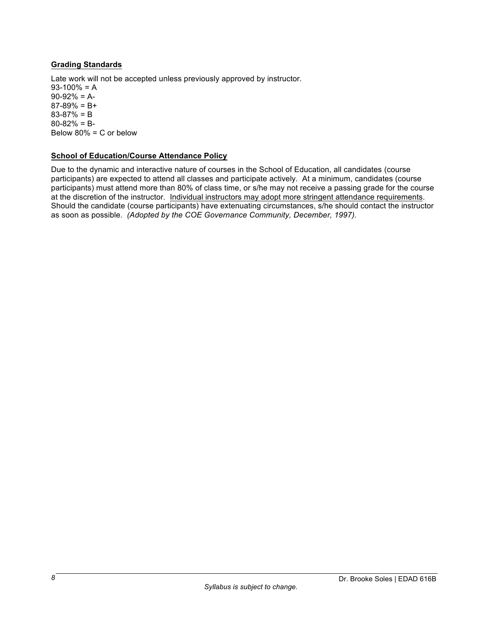# **Grading Standards**

Late work will not be accepted unless previously approved by instructor.  $93-100% = A$  $90-92% = A$ - $87-89% = B+$ 83-87% = B 80-82% = B-Below 80% = C or below

## **School of Education/Course Attendance Policy**

Due to the dynamic and interactive nature of courses in the School of Education, all candidates (course participants) are expected to attend all classes and participate actively. At a minimum, candidates (course participants) must attend more than 80% of class time, or s/he may not receive a passing grade for the course at the discretion of the instructor. Individual instructors may adopt more stringent attendance requirements. Should the candidate (course participants) have extenuating circumstances, s/he should contact the instructor as soon as possible. *(Adopted by the COE Governance Community, December, 1997).*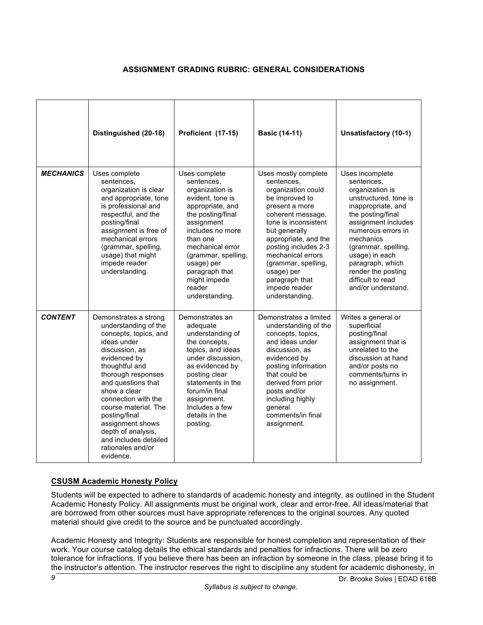# **ASSIGNMENT GRADING RUBRIC: GENERAL CONSIDERATIONS**

|                  | Distinguished (20-18)                                                                                                                                                                                                                                                                                                                                                      | Proficient (17-15)                                                                                                                                                                                                                                                               | <b>Basic (14-11)</b>                                                                                                                                                                                                                                                                                                      | Unsatisfactory (10-1)                                                                                                                                                                                                                                                                                        |
|------------------|----------------------------------------------------------------------------------------------------------------------------------------------------------------------------------------------------------------------------------------------------------------------------------------------------------------------------------------------------------------------------|----------------------------------------------------------------------------------------------------------------------------------------------------------------------------------------------------------------------------------------------------------------------------------|---------------------------------------------------------------------------------------------------------------------------------------------------------------------------------------------------------------------------------------------------------------------------------------------------------------------------|--------------------------------------------------------------------------------------------------------------------------------------------------------------------------------------------------------------------------------------------------------------------------------------------------------------|
| <b>MECHANICS</b> | Uses complete<br>sentences,<br>organization is clear<br>and appropriate, tone<br>is professional and<br>respectful, and the<br>posting/final<br>assignment is free of<br>mechanical errors<br>(grammar, spelling,<br>usage) that might<br>impede reader<br>understanding.                                                                                                  | Uses complete<br>sentences,<br>organization is<br>evident, tone is<br>appropriate, and<br>the posting/final<br>assignment<br>includes no more<br>than one<br>mechanical error<br>(grammar, spelling,<br>usage) per<br>paragraph that<br>might impede<br>reader<br>understanding. | Uses mostly complete<br>sentences,<br>organization could<br>be improved to<br>present a more<br>coherent message,<br>tone is inconsistent<br>but generally<br>appropriate, and the<br>posting includes 2-3<br>mechanical errors<br>(grammar, spelling,<br>usage) per<br>paragraph that<br>impede reader<br>understanding. | Uses incomplete<br>sentences,<br>organization is<br>unstructured, tone is<br>inappropriate, and<br>the posting/final<br>assignment includes<br>numerous errors in<br>mechanics<br>(grammar, spelling,<br>usage) in each<br>paragraph, which<br>render the posting<br>difficult to read<br>and/or understand. |
| <b>CONTENT</b>   | Demonstrates a strong<br>understanding of the<br>concepts, topics, and<br>ideas under<br>discussion, as<br>evidenced by<br>thoughtful and<br>thorough responses<br>and questions that<br>show a clear<br>connection with the<br>course material. The<br>posting/final<br>assignment shows<br>depth of analysis,<br>and includes detailed<br>rationales and/or<br>evidence. | Demonstrates an<br>adequate<br>understanding of<br>the concepts,<br>topics, and ideas<br>under discussion.<br>as evidenced by<br>posting clear<br>statements in the<br>forum/in final<br>assignment.<br>Includes a few<br>details in the<br>posting.                             | Demonstrates a limited<br>understanding of the<br>concepts, topics,<br>and ideas under<br>discussion, as<br>evidenced by<br>posting information<br>that could be<br>derived from prior<br>posts and/or<br>including highly<br>general<br>comments/in final<br>assignment.                                                 | Writes a general or<br>superficial<br>posting/final<br>assignment that is<br>unrelated to the<br>discussion at hand<br>and/or posts no<br>comments/turns in<br>no assignment.                                                                                                                                |

## **CSUSM Academic Honesty Policy**

Students will be expected to adhere to standards of academic honesty and integrity, as outlined in the Student Academic Honesty Policy. All assignments must be original work, clear and error-free. All ideas/material that are borrowed from other sources must have appropriate references to the original sources. Any quoted material should give credit to the source and be punctuated accordingly.

Academic Honesty and Integrity: Students are responsible for honest completion and representation of their work. Your course catalog details the ethical standards and penalties for infractions. There will be zero tolerance for infractions. If you believe there has been an infraction by someone in the class, please bring it to the instructor's attention. The instructor reserves the right to discipline any student for academic dishonesty, in